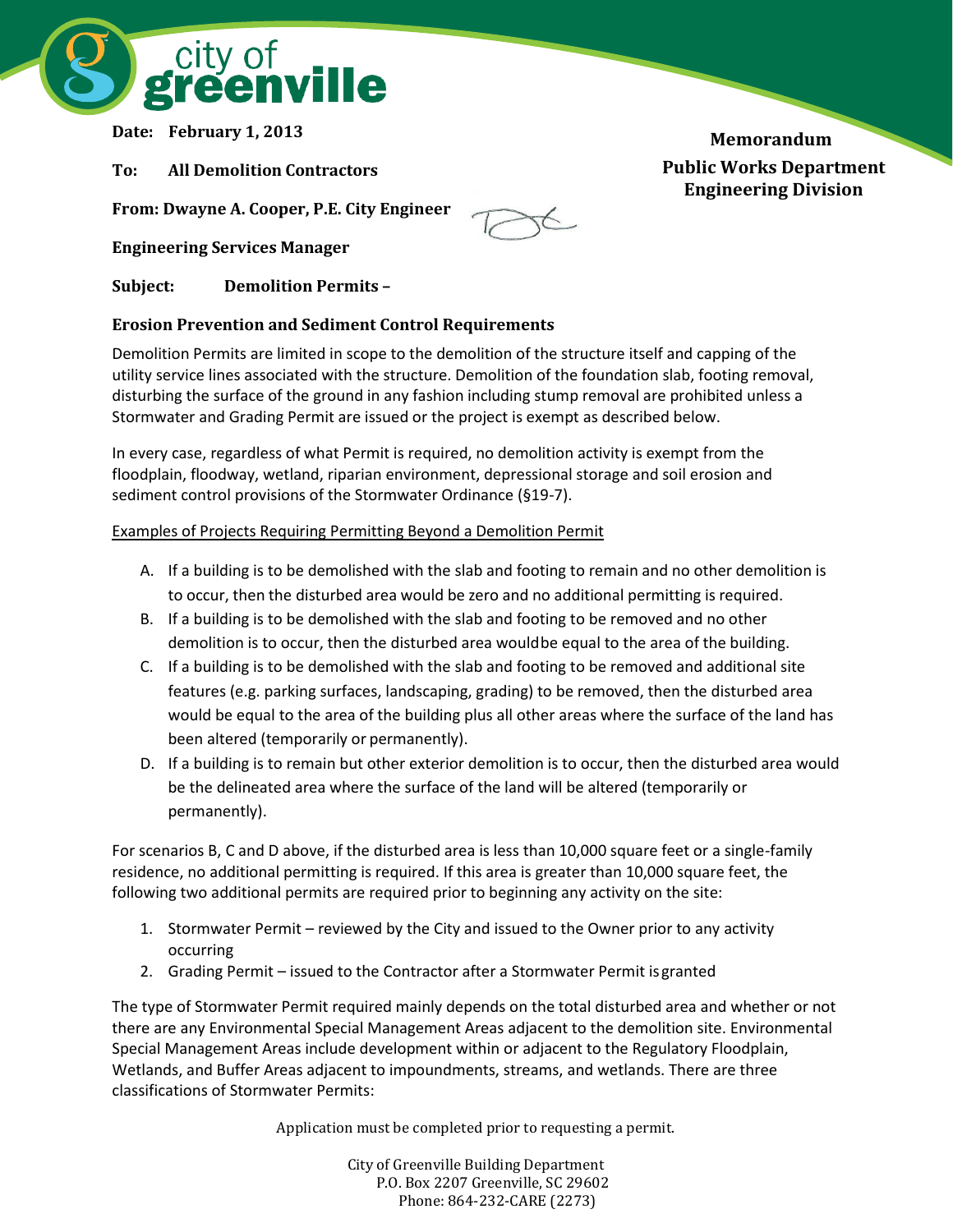

**Date: February 1, 2013**

**To: All Demolition Contractors**

**From: Dwayne A. Cooper, P.E. City Engineer** 

**Engineering Services Manager**

**Subject: Demolition Permits –**

# **Erosion Prevention and Sediment Control Requirements**

Demolition Permits are limited in scope to the demolition of the structure itself and capping of the utility service lines associated with the structure. Demolition of the foundation slab, footing removal, disturbing the surface of the ground in any fashion including stump removal are prohibited unless a Stormwater and Grading Permit are issued or the project is exempt as described below.

In every case, regardless of what Permit is required, no demolition activity is exempt from the floodplain, floodway, wetland, riparian environment, depressional storage and soil erosion and sediment control provisions of the Stormwater Ordinance (§19-7).

### Examples of Projects Requiring Permitting Beyond a Demolition Permit

- A. If a building is to be demolished with the slab and footing to remain and no other demolition is to occur, then the disturbed area would be zero and no additional permitting is required.
- B. If a building is to be demolished with the slab and footing to be removed and no other demolition is to occur, then the disturbed area wouldbe equal to the area of the building.
- C. If a building is to be demolished with the slab and footing to be removed and additional site features (e.g. parking surfaces, landscaping, grading) to be removed, then the disturbed area would be equal to the area of the building plus all other areas where the surface of the land has been altered (temporarily or permanently).
- D. If a building is to remain but other exterior demolition is to occur, then the disturbed area would be the delineated area where the surface of the land will be altered (temporarily or permanently).

For scenarios B, C and D above, if the disturbed area is less than 10,000 square feet or a single-family residence, no additional permitting is required. If this area is greater than 10,000 square feet, the following two additional permits are required prior to beginning any activity on the site:

- 1. Stormwater Permit reviewed by the City and issued to the Owner prior to any activity occurring
- 2. Grading Permit issued to the Contractor after a Stormwater Permit isgranted

The type of Stormwater Permit required mainly depends on the total disturbed area and whether or not there are any Environmental Special Management Areas adjacent to the demolition site. Environmental Special Management Areas include development within or adjacent to the Regulatory Floodplain, Wetlands, and Buffer Areas adjacent to impoundments, streams, and wetlands. There are three classifications of Stormwater Permits:

Application must be completed prior to requesting a permit.

City of Greenville Building Department P.O. Box 2207 Greenville, SC 29602 Phone: 864-232-CARE (2273)

**Memorandum Public Works Department Engineering Division**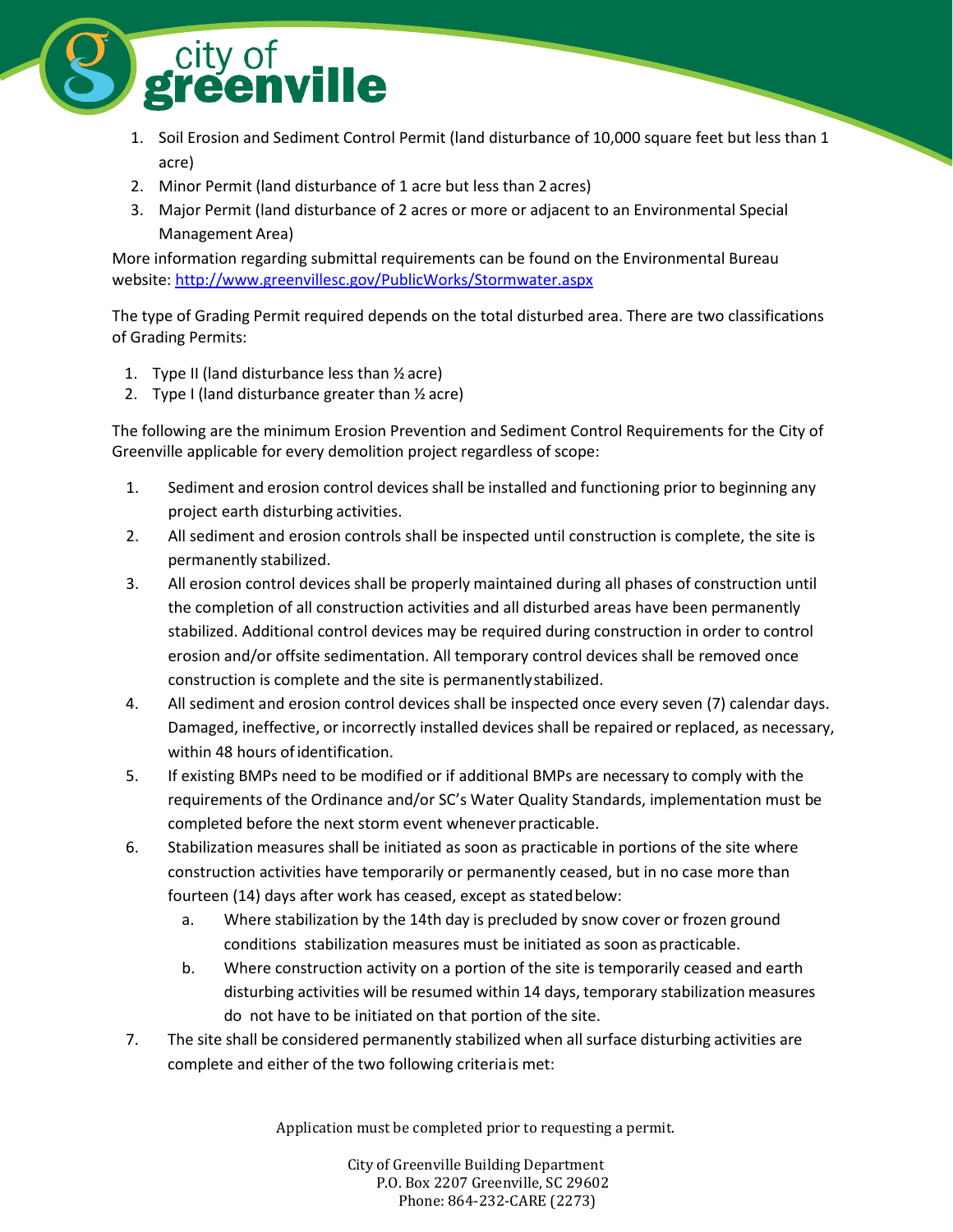

- 1. Soil Erosion and Sediment Control Permit (land disturbance of 10,000 square feet but less than 1 acre)
- 2. Minor Permit (land disturbance of 1 acre but less than 2 acres)
- 3. Major Permit (land disturbance of 2 acres or more or adjacent to an Environmental Special Management Area)

More information regarding submittal requirements can be found on the Environmental Bureau website[: http://www.greenvillesc.gov/PublicWorks/Stormwater.aspx](http://www.greenvillesc.gov/PublicWorks/Stormwater.aspx)

The type of Grading Permit required depends on the total disturbed area. There are two classifications of Grading Permits:

- 1. Type II (land disturbance less than  $\frac{1}{2}$  acre)
- 2. Type I (land disturbance greater than  $\frac{1}{2}$  acre)

The following are the minimum Erosion Prevention and Sediment Control Requirements for the City of Greenville applicable for every demolition project regardless of scope:

- 1. Sediment and erosion control devices shall be installed and functioning prior to beginning any project earth disturbing activities.
- 2. All sediment and erosion controls shall be inspected until construction is complete, the site is permanently stabilized.
- 3. All erosion control devices shall be properly maintained during all phases of construction until the completion of all construction activities and all disturbed areas have been permanently stabilized. Additional control devices may be required during construction in order to control erosion and/or offsite sedimentation. All temporary control devices shall be removed once construction is complete and the site is permanentlystabilized.
- 4. All sediment and erosion control devices shall be inspected once every seven (7) calendar days. Damaged, ineffective, or incorrectly installed devices shall be repaired or replaced, as necessary, within 48 hours of identification.
- 5. If existing BMPs need to be modified or if additional BMPs are necessary to comply with the requirements of the Ordinance and/or SC's Water Quality Standards, implementation must be completed before the next storm event whenever practicable.
- 6. Stabilization measures shall be initiated as soon as practicable in portions of the site where construction activities have temporarily or permanently ceased, but in no case more than fourteen (14) days after work has ceased, except as stated below:
	- a. Where stabilization by the 14th day is precluded by snow cover or frozen ground conditions stabilization measures must be initiated as soon as practicable.
	- b. Where construction activity on a portion of the site is temporarily ceased and earth disturbing activities will be resumed within 14 days, temporary stabilization measures do not have to be initiated on that portion of the site.
- 7. The site shall be considered permanently stabilized when all surface disturbing activities are complete and either of the two following criteriais met:

Application must be completed prior to requesting a permit.

City of Greenville Building Department P.O. Box 2207 Greenville, SC 29602 Phone: 864-232-CARE (2273)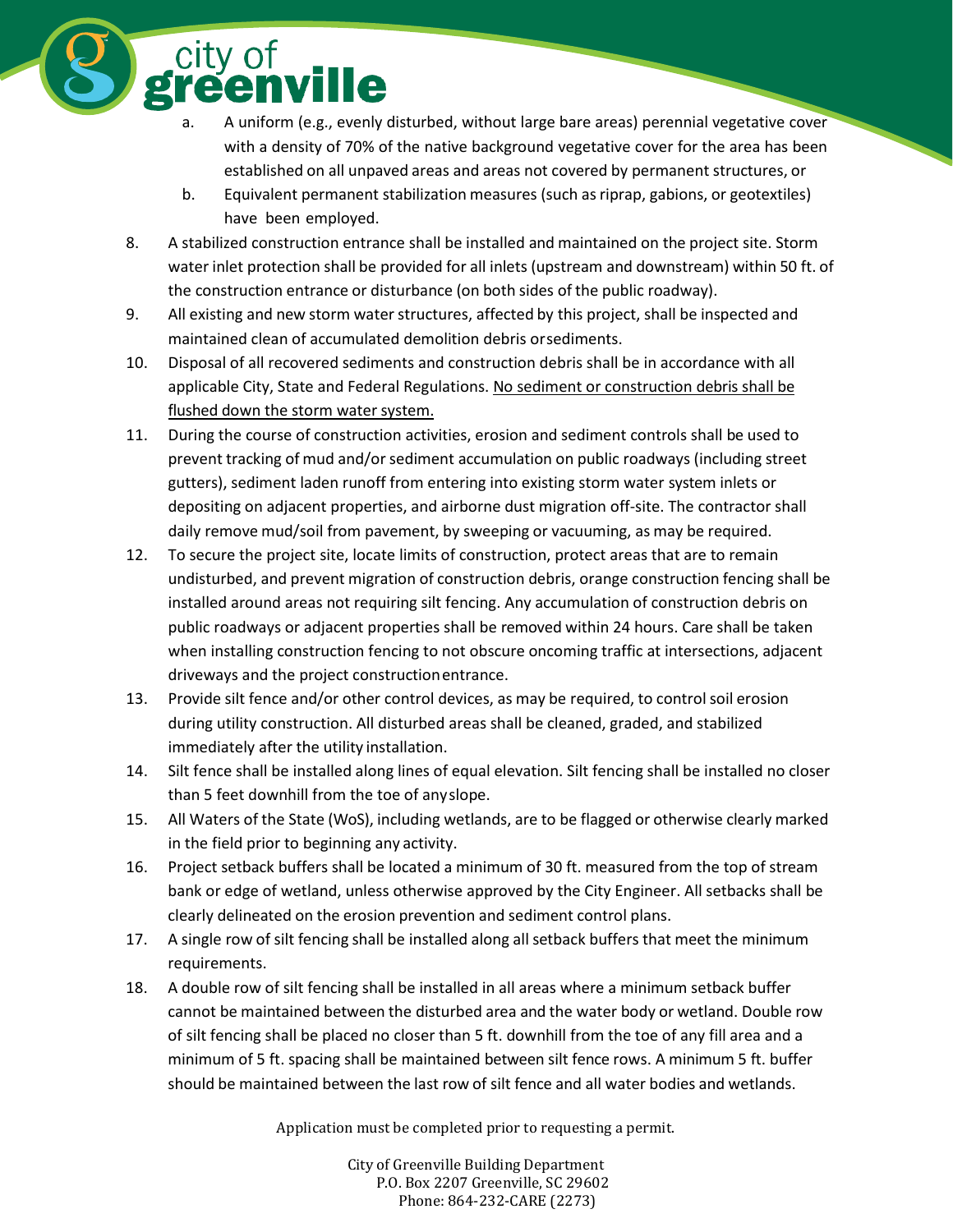a. A uniform (e.g., evenly disturbed, without large bare areas) perennial vegetative cover with a density of 70% of the native background vegetative cover for the area has been established on all unpaved areas and areas not covered by permanent structures, or

- b. Equivalent permanent stabilization measures (such asriprap, gabions, or geotextiles) have been employed.
- 8. A stabilized construction entrance shall be installed and maintained on the project site. Storm water inlet protection shall be provided for all inlets (upstream and downstream) within 50 ft. of the construction entrance or disturbance (on both sides of the public roadway).
- 9. All existing and new storm water structures, affected by this project, shall be inspected and maintained clean of accumulated demolition debris orsediments.

city of<br>**reenville** 

- 10. Disposal of all recovered sediments and construction debris shall be in accordance with all applicable City, State and Federal Regulations. No sediment or construction debris shall be flushed down the storm water system.
- 11. During the course of construction activities, erosion and sediment controls shall be used to prevent tracking of mud and/or sediment accumulation on public roadways (including street gutters), sediment laden runoff from entering into existing storm water system inlets or depositing on adjacent properties, and airborne dust migration off-site. The contractor shall daily remove mud/soil from pavement, by sweeping or vacuuming, as may be required.
- 12. To secure the project site, locate limits of construction, protect areas that are to remain undisturbed, and prevent migration of construction debris, orange construction fencing shall be installed around areas not requiring silt fencing. Any accumulation of construction debris on public roadways or adjacent properties shall be removed within 24 hours. Care shall be taken when installing construction fencing to not obscure oncoming traffic at intersections, adjacent driveways and the project constructionentrance.
- 13. Provide silt fence and/or other control devices, as may be required, to controlsoil erosion during utility construction. All disturbed areas shall be cleaned, graded, and stabilized immediately after the utility installation.
- 14. Silt fence shall be installed along lines of equal elevation. Silt fencing shall be installed no closer than 5 feet downhill from the toe of anyslope.
- 15. All Waters of the State (WoS), including wetlands, are to be flagged or otherwise clearly marked in the field prior to beginning any activity.
- 16. Project setback buffers shall be located a minimum of 30 ft. measured from the top of stream bank or edge of wetland, unless otherwise approved by the City Engineer. All setbacks shall be clearly delineated on the erosion prevention and sediment control plans.
- 17. A single row of silt fencing shall be installed along all setback buffers that meet the minimum requirements.
- 18. A double row of silt fencing shall be installed in all areas where a minimum setback buffer cannot be maintained between the disturbed area and the water body or wetland. Double row of silt fencing shall be placed no closer than 5 ft. downhill from the toe of any fill area and a minimum of 5 ft. spacing shall be maintained between silt fence rows. A minimum 5 ft. buffer should be maintained between the last row of silt fence and all water bodies and wetlands.

Application must be completed prior to requesting a permit.

City of Greenville Building Department P.O. Box 2207 Greenville, SC 29602 Phone: 864-232-CARE (2273)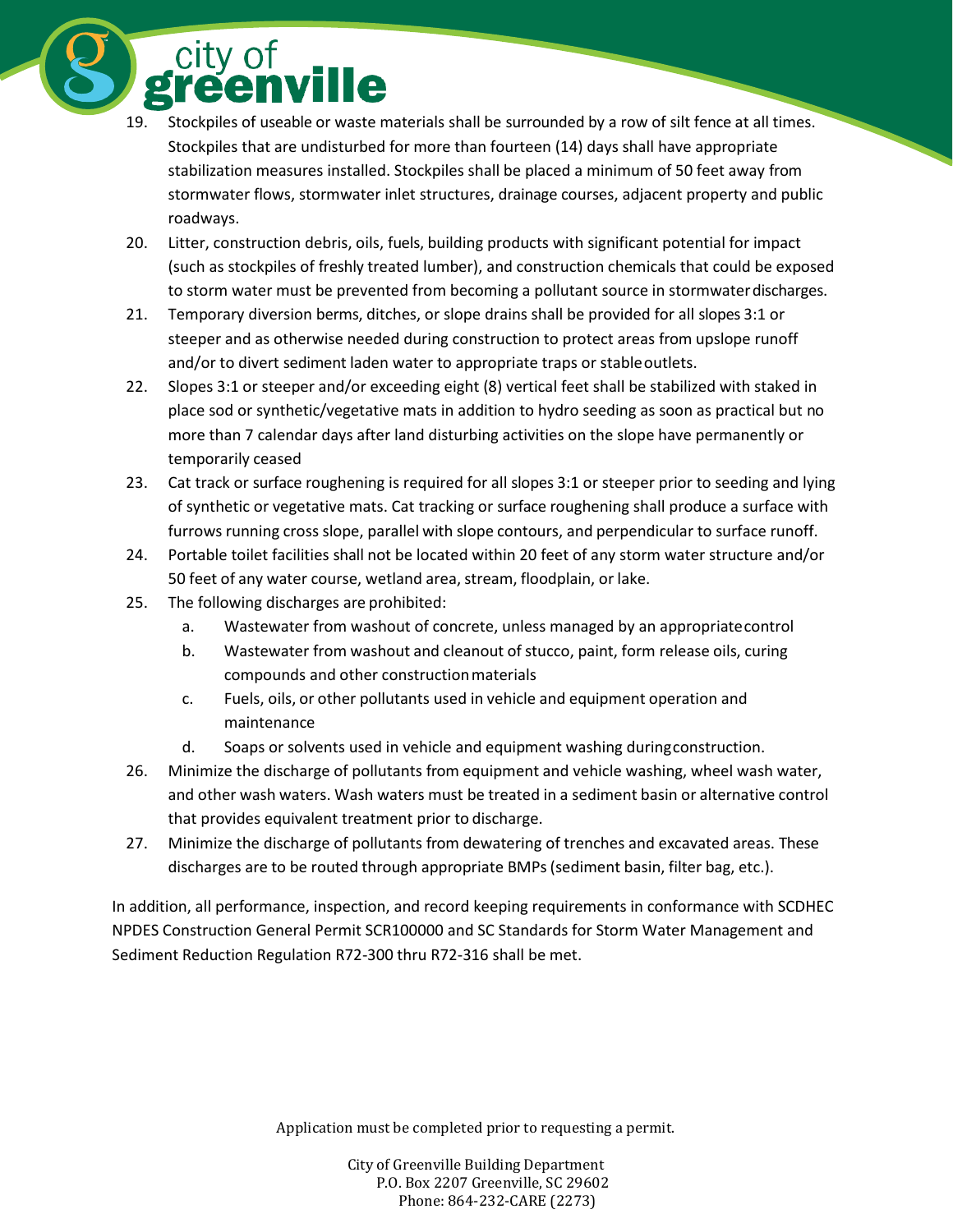city of<br>**greenville** 

- 19. Stockpiles of useable or waste materials shall be surrounded by a row of silt fence at all times. Stockpiles that are undisturbed for more than fourteen (14) days shall have appropriate stabilization measures installed. Stockpiles shall be placed a minimum of 50 feet away from stormwater flows, stormwater inlet structures, drainage courses, adjacent property and public roadways.
- 20. Litter, construction debris, oils, fuels, building products with significant potential for impact (such as stockpiles of freshly treated lumber), and construction chemicals that could be exposed to storm water must be prevented from becoming a pollutant source in stormwaterdischarges.
- 21. Temporary diversion berms, ditches, or slope drains shall be provided for all slopes 3:1 or steeper and as otherwise needed during construction to protect areas from upslope runoff and/or to divert sediment laden water to appropriate traps or stableoutlets.
- 22. Slopes 3:1 or steeper and/or exceeding eight (8) vertical feet shall be stabilized with staked in place sod or synthetic/vegetative mats in addition to hydro seeding as soon as practical but no more than 7 calendar days after land disturbing activities on the slope have permanently or temporarily ceased
- 23. Cat track or surface roughening is required for all slopes 3:1 or steeper prior to seeding and lying of synthetic or vegetative mats. Cat tracking or surface roughening shall produce a surface with furrows running cross slope, parallel with slope contours, and perpendicular to surface runoff.
- 24. Portable toilet facilities shall not be located within 20 feet of any storm water structure and/or 50 feet of any water course, wetland area, stream, floodplain, or lake.
- 25. The following discharges are prohibited:
	- a. Wastewater from washout of concrete, unless managed by an appropriatecontrol
	- b. Wastewater from washout and cleanout of stucco, paint, form release oils, curing compounds and other constructionmaterials
	- c. Fuels, oils, or other pollutants used in vehicle and equipment operation and maintenance
	- d. Soaps or solvents used in vehicle and equipment washing duringconstruction.
- 26. Minimize the discharge of pollutants from equipment and vehicle washing, wheel wash water, and other wash waters. Wash waters must be treated in a sediment basin or alternative control that provides equivalent treatment prior to discharge.
- 27. Minimize the discharge of pollutants from dewatering of trenches and excavated areas. These discharges are to be routed through appropriate BMPs(sediment basin, filter bag, etc.).

In addition, all performance, inspection, and record keeping requirements in conformance with SCDHEC NPDES Construction General Permit SCR100000 and SC Standards for Storm Water Management and Sediment Reduction Regulation R72-300 thru R72-316 shall be met.

Application must be completed prior to requesting a permit.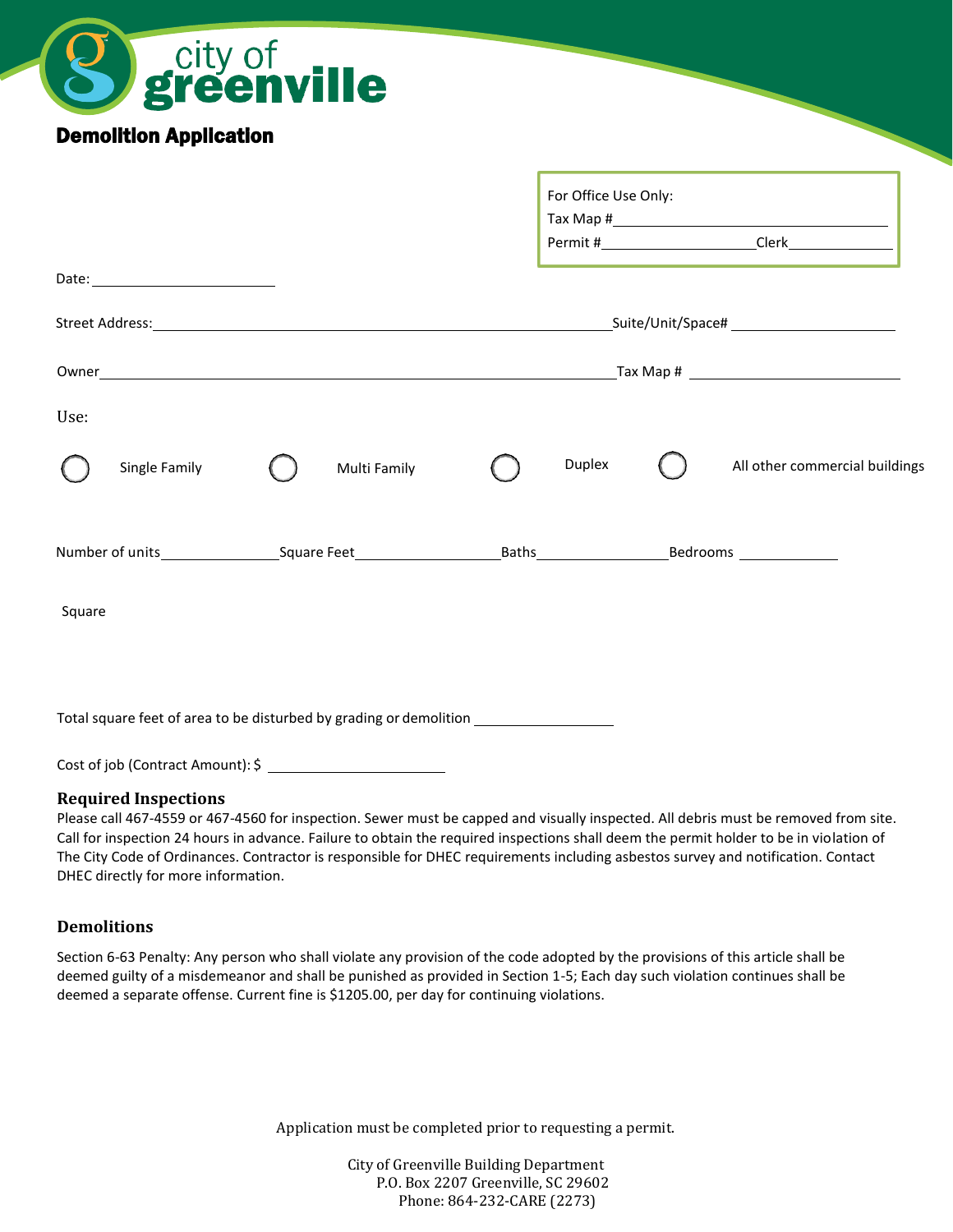| city of<br><b>greenville</b>                                                      |                                                 |
|-----------------------------------------------------------------------------------|-------------------------------------------------|
| <b>Demolition Application</b>                                                     |                                                 |
|                                                                                   | For Office Use Only:                            |
|                                                                                   |                                                 |
|                                                                                   |                                                 |
|                                                                                   |                                                 |
| Use:                                                                              |                                                 |
| Single Family<br>Multi Family                                                     | <b>Duplex</b><br>All other commercial buildings |
|                                                                                   |                                                 |
| Square                                                                            |                                                 |
|                                                                                   |                                                 |
| Total square feet of area to be disturbed by grading or demolition ______________ |                                                 |
| Cost of job (Contract Amount): \$                                                 |                                                 |

#### **Required Inspections**

Please call 467-4559 or 467-4560 for inspection. Sewer must be capped and visually inspected. All debris must be removed from site. Call for inspection 24 hours in advance. Failure to obtain the required inspections shall deem the permit holder to be in violation of The City Code of Ordinances. Contractor is responsible for DHEC requirements including asbestos survey and notification. Contact DHEC directly for more information.

#### **Demolitions**

Section 6-63 Penalty: Any person who shall violate any provision of the code adopted by the provisions of this article shall be deemed guilty of a misdemeanor and shall be punished as provided in Section 1-5; Each day such violation continues shall be deemed a separate offense. Current fine is \$1205.00, per day for continuing violations.

Application must be completed prior to requesting a permit.

City of Greenville Building Department P.O. Box 2207 Greenville, SC 29602 Phone: 864-232-CARE (2273)